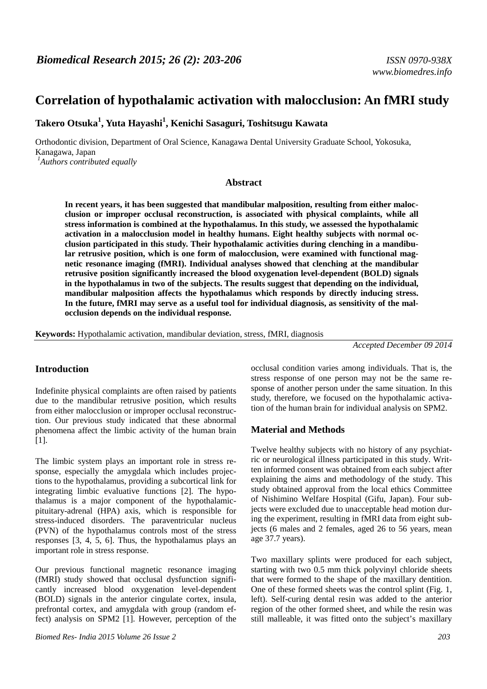# **Correlation of hypothalamic activation with malocclusion: An fMRI study**

**Takero Otsuka<sup>1</sup> , Yuta Hayashi<sup>1</sup> , Kenichi Sasaguri, Toshitsugu Kawata**

Orthodontic division, Department of Oral Science, Kanagawa Dental University Graduate School, Yokosuka, Kanagawa, Japan *1 Authors contributed equally* 

#### **Abstract**

**In recent years, it has been suggested that mandibular malposition, resulting from either malocclusion or improper occlusal reconstruction, is associated with physical complaints, while all stress information is combined at the hypothalamus. In this study, we assessed the hypothalamic activation in a malocclusion model in healthy humans. Eight healthy subjects with normal occlusion participated in this study. Their hypothalamic activities during clenching in a mandibular retrusive position, which is one form of malocclusion, were examined with functional magnetic resonance imaging (fMRI). Individual analyses showed that clenching at the mandibular retrusive position significantly increased the blood oxygenation level-dependent (BOLD) signals in the hypothalamus in two of the subjects. The results suggest that depending on the individual, mandibular malposition affects the hypothalamus which responds by directly inducing stress. In the future, fMRI may serve as a useful tool for individual diagnosis, as sensitivity of the malocclusion depends on the individual response.** 

**Keywords:** Hypothalamic activation, mandibular deviation, stress, fMRI, diagnosis

*Accepted December 09 2014* 

### **Introduction**

Indefinite physical complaints are often raised by patients due to the mandibular retrusive position, which results from either malocclusion or improper occlusal reconstruction. Our previous study indicated that these abnormal phenomena affect the limbic activity of the human brain  $[1]$ .

The limbic system plays an important role in stress response, especially the amygdala which includes projections to the hypothalamus, providing a subcortical link for integrating limbic evaluative functions [2]. The hypothalamus is a major component of the hypothalamicpituitary-adrenal (HPA) axis, which is responsible for stress-induced disorders. The paraventricular nucleus (PVN) of the hypothalamus controls most of the stress responses [3, 4, 5, 6]. Thus, the hypothalamus plays an important role in stress response.

Our previous functional magnetic resonance imaging (fMRI) study showed that occlusal dysfunction significantly increased blood oxygenation level-dependent (BOLD) signals in the anterior cingulate cortex, insula, prefrontal cortex, and amygdala with group (random effect) analysis on SPM2 [1]. However, perception of the occlusal condition varies among individuals. That is, the stress response of one person may not be the same response of another person under the same situation. In this study, therefore, we focused on the hypothalamic activation of the human brain for individual analysis on SPM2.

# **Material and Methods**

Twelve healthy subjects with no history of any psychiatric or neurological illness participated in this study. Written informed consent was obtained from each subject after explaining the aims and methodology of the study. This study obtained approval from the local ethics Committee of Nishimino Welfare Hospital (Gifu, Japan). Four subjects were excluded due to unacceptable head motion during the experiment, resulting in fMRI data from eight subjects (6 males and 2 females, aged 26 to 56 years, mean age 37.7 years).

Two maxillary splints were produced for each subject, starting with two 0.5 mm thick polyvinyl chloride sheets that were formed to the shape of the maxillary dentition. One of these formed sheets was the control splint (Fig. 1, left). Self-curing dental resin was added to the anterior region of the other formed sheet, and while the resin was still malleable, it was fitted onto the subject's maxillary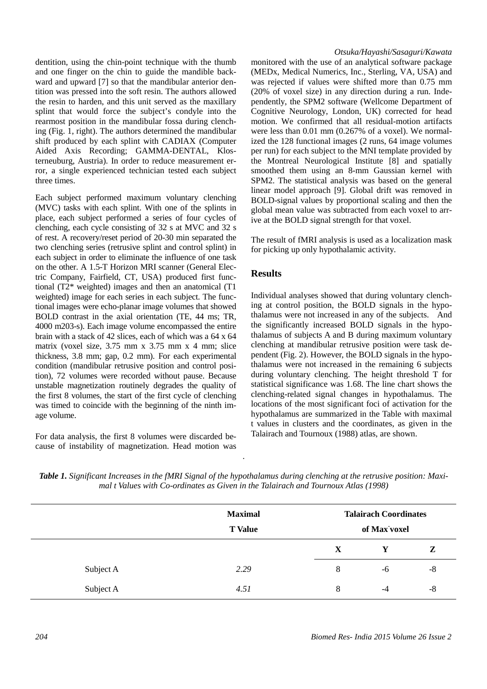dentition, using the chin-point technique with the thumb and one finger on the chin to guide the mandible backward and upward [7] so that the mandibular anterior dentition was pressed into the soft resin. The authors allowed the resin to harden, and this unit served as the maxillary splint that would force the subject's condyle into the rearmost position in the mandibular fossa during clenching (Fig. 1, right). The authors determined the mandibular shift produced by each splint with CADIAX (Computer Aided Axis Recording; GAMMA-DENTAL, Klosterneuburg, Austria). In order to reduce measurement error, a single experienced technician tested each subject three times.

Each subject performed maximum voluntary clenching (MVC) tasks with each splint. With one of the splints in place, each subject performed a series of four cycles of clenching, each cycle consisting of 32 s at MVC and 32 s of rest. A recovery/reset period of 20-30 min separated the two clenching series (retrusive splint and control splint) in each subject in order to eliminate the influence of one task on the other. A 1.5-T Horizon MRI scanner (General Electric Company, Fairfield, CT, USA) produced first functional (T2\* weighted) images and then an anatomical (T1 weighted) image for each series in each subject. The functional images were echo-planar image volumes that showed BOLD contrast in the axial orientation (TE, 44 ms; TR, 4000 m203-s). Each image volume encompassed the entire brain with a stack of 42 slices, each of which was a 64 x 64 matrix (voxel size, 3.75 mm x 3.75 mm x 4 mm; slice thickness, 3.8 mm; gap, 0.2 mm). For each experimental condition (mandibular retrusive position and control position), 72 volumes were recorded without pause. Because unstable magnetization routinely degrades the quality of the first 8 volumes, the start of the first cycle of clenching was timed to coincide with the beginning of the ninth image volume.

For data analysis, the first 8 volumes were discarded because of instability of magnetization. Head motion was

#### *Otsuka/Hayashi/Sasaguri/Kawata*

monitored with the use of an analytical software package (MEDx, Medical Numerics, Inc., Sterling, VA, USA) and was rejected if values were shifted more than 0.75 mm (20% of voxel size) in any direction during a run. Independently, the SPM2 software (Wellcome Department of Cognitive Neurology, London, UK) corrected for head motion. We confirmed that all residual-motion artifacts were less than 0.01 mm (0.267% of a voxel). We normalized the 128 functional images (2 runs, 64 image volumes per run) for each subject to the MNI template provided by the Montreal Neurological Institute [8] and spatially smoothed them using an 8-mm Gaussian kernel with SPM2. The statistical analysis was based on the general linear model approach [9]. Global drift was removed in BOLD-signal values by proportional scaling and then the global mean value was subtracted from each voxel to arrive at the BOLD signal strength for that voxel.

The result of fMRI analysis is used as a localization mask for picking up only hypothalamic activity.

# **Results**

Individual analyses showed that during voluntary clenching at control position, the BOLD signals in the hypothalamus were not increased in any of the subjects. And the significantly increased BOLD signals in the hypothalamus of subjects A and B during maximum voluntary clenching at mandibular retrusive position were task dependent (Fig. 2). However, the BOLD signals in the hypothalamus were not increased in the remaining 6 subjects during voluntary clenching. The height threshold T for statistical significance was 1.68. The line chart shows the clenching-related signal changes in hypothalamus. The locations of the most significant foci of activation for the hypothalamus are summarized in the Table with maximal t values in clusters and the coordinates, as given in the Talairach and Tournoux (1988) atlas, are shown.

|           | <b>Maximal</b><br><b>T</b> Value | <b>Talairach Coordinates</b><br>of Max voxel |    |      |
|-----------|----------------------------------|----------------------------------------------|----|------|
|           |                                  | $\mathbf{X}$                                 | Y  | Z    |
| Subject A | 2.29                             | 8                                            | -6 | $-8$ |
| Subject A | 4.51                             | 8                                            | -4 | $-8$ |

*Table 1. Significant Increases in the fMRI Signal of the hypothalamus during clenching at the retrusive position: Maximal t Values with Co-ordinates as Given in the Talairach and Tournoux Atlas (1998)* 

.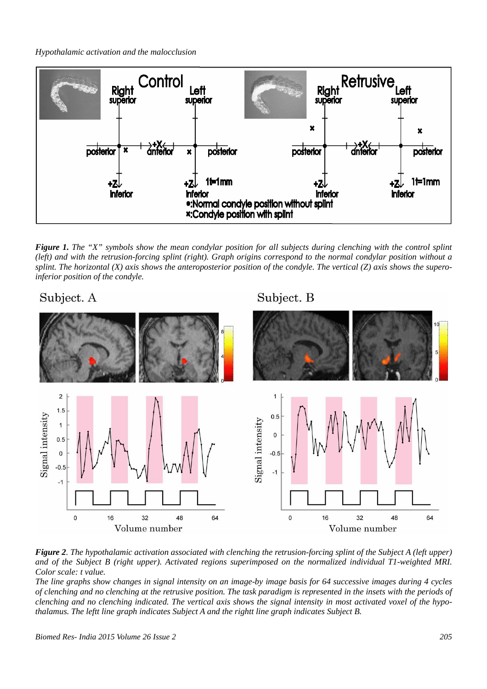*Hypothalamic activation and the malocclusion* 



*Figure 1. The "X" symbols show the mean condylar position for all subjects during clenching with the control splint (left) and with the retrusion-forcing splint (right). Graph origins correspond to the normal condylar position without a splint. The horizontal (X) axis shows the anteroposterior position of the condyle. The vertical (Z) axis shows the superoinferior position of the condyle.* 

# Subject. A

Subject. B



*Figure 2. The hypothalamic activation associated with clenching the retrusion-forcing splint of the Subject A (left upper) and of the Subject B (right upper). Activated regions superimposed on the normalized individual T1-weighted MRI. Color scale: t value.* 

*The line graphs show changes in signal intensity on an image-by image basis for 64 successive images during 4 cycles of clenching and no clenching at the retrusive position. The task paradigm is represented in the insets with the periods of clenching and no clenching indicated. The vertical axis shows the signal intensity in most activated voxel of the hypothalamus. The leftt line graph indicates Subject A and the rightt line graph indicates Subject B.*